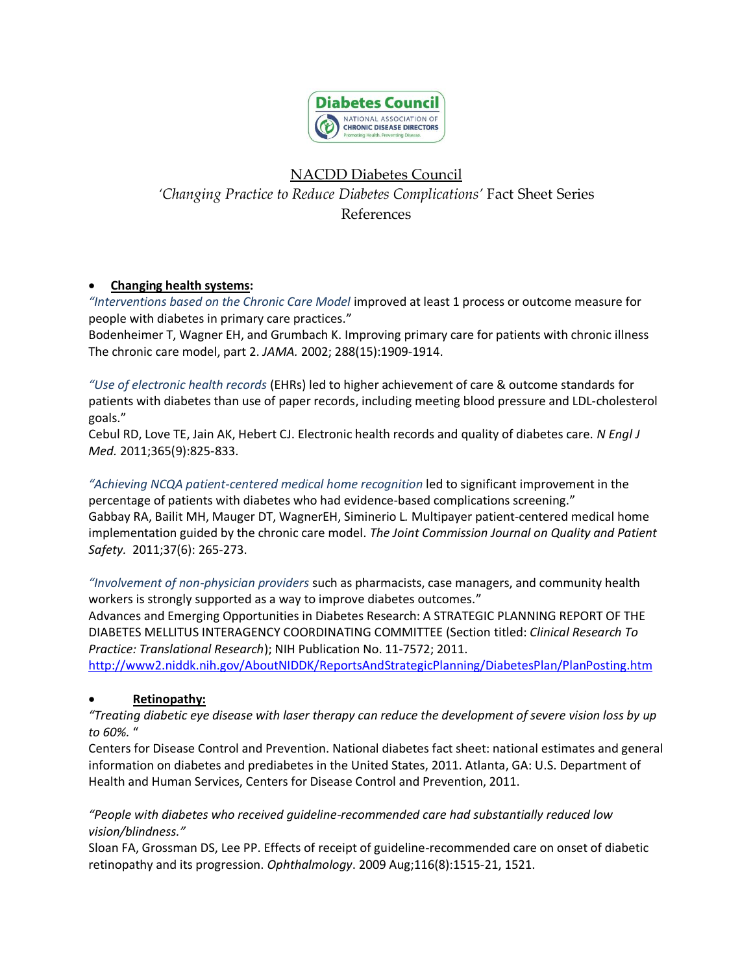

# NACDD Diabetes Council

*'Changing Practice to Reduce Diabetes Complications'* Fact Sheet Series References

# **Changing health systems:**

*"Interventions based on the Chronic Care Model* improved at least 1 process or outcome measure for people with diabetes in primary care practices."

Bodenheimer T, Wagner EH, and Grumbach K. Improving primary care for patients with chronic illness The chronic care model, part 2. *JAMA.* 2002; 288(15):1909-1914.

*"Use of electronic health records* (EHRs) led to higher achievement of care & outcome standards for patients with diabetes than use of paper records, including meeting blood pressure and LDL-cholesterol goals."

Cebul RD, Love TE, Jain AK, Hebert CJ. Electronic health records and quality of diabetes care. *N Engl J Med.* 2011;365(9):825-833.

*"Achieving NCQA patient-centered medical home recognition* led to significant improvement in the percentage of patients with diabetes who had evidence-based complications screening." Gabbay RA, Bailit MH, Mauger DT, WagnerEH, Siminerio L*.* Multipayer patient-centered medical home implementation guided by the chronic care model. *The Joint Commission Journal on Quality and Patient Safety.* 2011;37(6): 265-273.

*"Involvement of non-physician providers* such as pharmacists, case managers, and community health workers is strongly supported as a way to improve diabetes outcomes." Advances and Emerging Opportunities in Diabetes Research: A STRATEGIC PLANNING REPORT OF THE DIABETES MELLITUS INTERAGENCY COORDINATING COMMITTEE (Section titled: *Clinical Research To* 

*Practice: Translational Research*); NIH Publication No. 11-7572; 2011.

<http://www2.niddk.nih.gov/AboutNIDDK/ReportsAndStrategicPlanning/DiabetesPlan/PlanPosting.htm>

# **Retinopathy:**

*"Treating diabetic eye disease with laser therapy can reduce the development of severe vision loss by up to 60%.* "

Centers for Disease Control and Prevention. National diabetes fact sheet: national estimates and general information on diabetes and prediabetes in the United States, 2011. Atlanta, GA: U.S. Department of Health and Human Services, Centers for Disease Control and Prevention, 2011.

# *"People with diabetes who received guideline-recommended care had substantially reduced low vision/blindness."*

Sloan FA, Grossman DS, Lee PP. Effects of receipt of guideline-recommended care on onset of diabetic retinopathy and its progression. *Ophthalmology*. 2009 Aug;116(8):1515-21, 1521.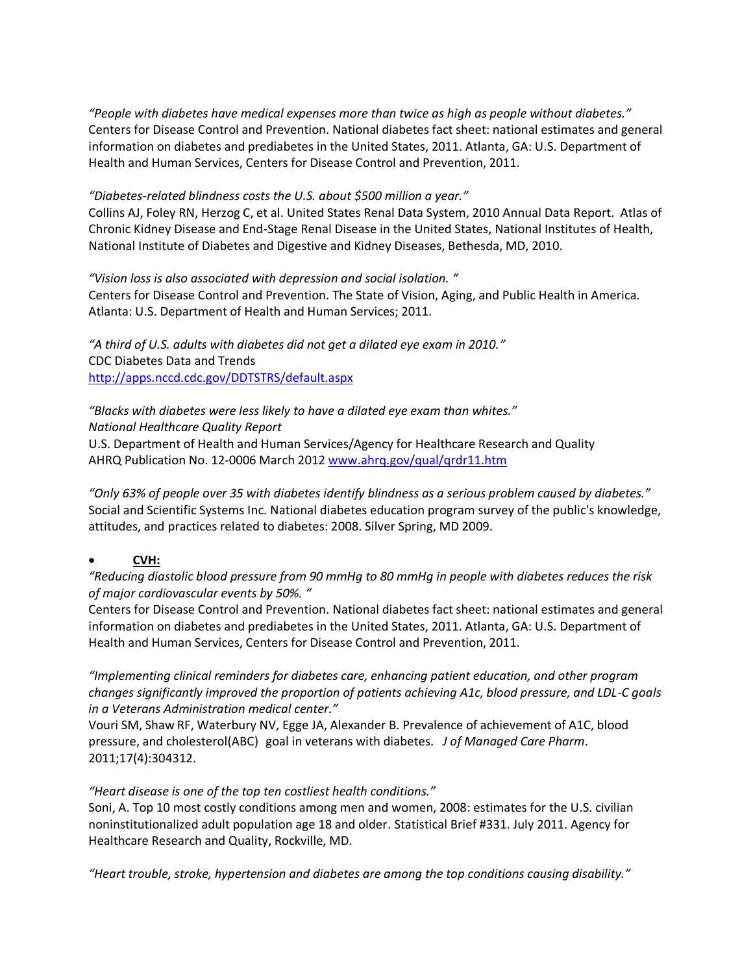*"People with diabetes have medical expenses more than twice as high as people without diabetes."* Centers for Disease Control and Prevention. National diabetes fact sheet: national estimates and general information on diabetes and prediabetes in the United States, 2011. Atlanta, GA: U.S. Department of Health and Human Services, Centers for Disease Control and Prevention, 2011.

### *"Diabetes-related blindness costs the U.S. about \$500 million a year."*

Collins AJ, Foley RN, Herzog C, et al. United States Renal Data System, 2010 Annual Data Report. Atlas of Chronic Kidney Disease and End-Stage Renal Disease in the United States, National Institutes of Health, National Institute of Diabetes and Digestive and Kidney Diseases, Bethesda, MD, 2010.

*"Vision loss is also associated with depression and social isolation. "*

Centers for Disease Control and Prevention. The State of Vision, Aging, and Public Health in America. Atlanta: U.S. Department of Health and Human Services; 2011.

*"A third of U.S. adults with diabetes did not get a dilated eye exam in 2010."* CDC Diabetes Data and Trends <http://apps.nccd.cdc.gov/DDTSTRS/default.aspx>

*"Blacks with diabetes were less likely to have a dilated eye exam than whites." National Healthcare Quality Report*  U.S. Department of Health and Human Services/Agency for Healthcare Research and Quality AHRQ Publication No. 12-0006 March 2012 [www.ahrq.gov/qual/qrdr11.htm](http://www.ahrq.gov/qual/qrdr11.htm)

*"Only 63% of people over 35 with diabetes identify blindness as a serious problem caused by diabetes."* Social and Scientific Systems Inc. National diabetes education program survey of the public's knowledge, attitudes, and practices related to diabetes: 2008. Silver Spring, MD 2009.

# **CVH:**

*"Reducing diastolic blood pressure from 90 mmHg to 80 mmHg in people with diabetes reduces the risk of major cardiovascular events by 50%. "*

Centers for Disease Control and Prevention. National diabetes fact sheet: national estimates and general information on diabetes and prediabetes in the United States, 2011. Atlanta, GA: U.S. Department of Health and Human Services, Centers for Disease Control and Prevention, 2011.

*"Implementing clinical reminders for diabetes care, enhancing patient education, and other program changes significantly improved the proportion of patients achieving A1c, blood pressure, and LDL-C goals in a Veterans Administration medical center."*

Vouri SM, Shaw RF, Waterbury NV, Egge JA, Alexander B. Prevalence of achievement of A1C, blood pressure, and cholesterol(ABC) goal in veterans with diabetes. *J of Managed Care Pharm*. 2011;17(4):304312.

# *"Heart disease is one of the top ten costliest health conditions."*

Soni, A. Top 10 most costly conditions among men and women, 2008: estimates for the U.S. civilian noninstitutionalized adult population age 18 and older. Statistical Brief #331. July 2011. Agency for Healthcare Research and Quality, Rockville, MD.

*"Heart trouble, stroke, hypertension and diabetes are among the top conditions causing disability."*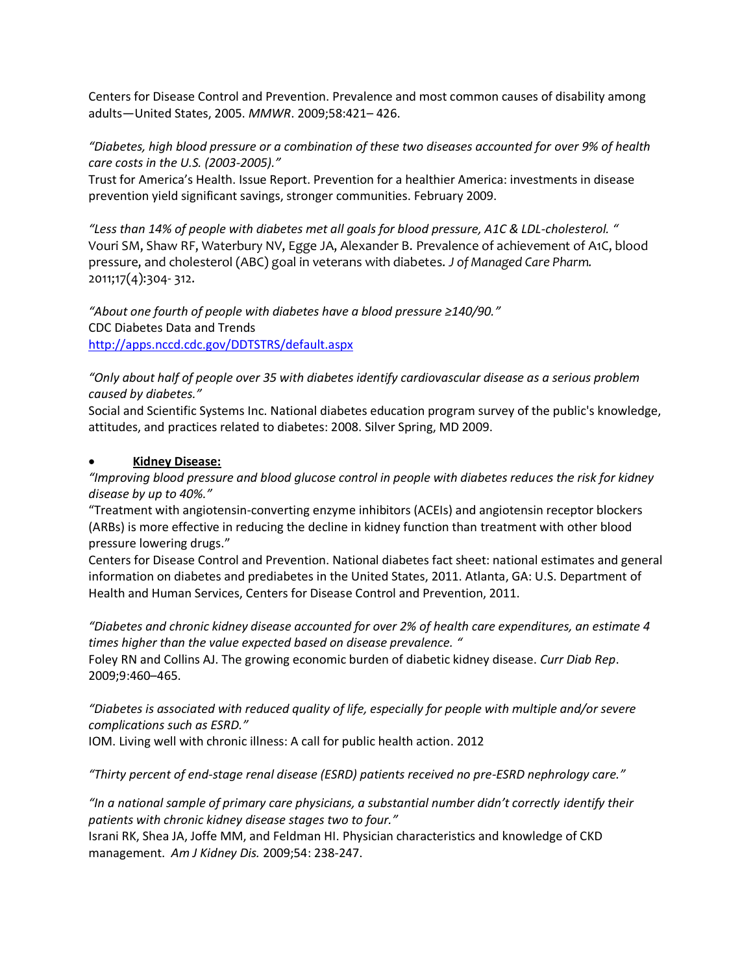Centers for Disease Control and Prevention. Prevalence and most common causes of disability among adults—United States, 2005. *MMWR*. 2009;58:421– 426.

### *"Diabetes, high blood pressure or a combination of these two diseases accounted for over 9% of health care costs in the U.S. (2003-2005)."*

Trust for America's Health. Issue Report. Prevention for a healthier America: investments in disease prevention yield significant savings, stronger communities. February 2009.

*"Less than 14% of people with diabetes met all goals for blood pressure, A1C & LDL-cholesterol. "* Vouri SM, Shaw RF, Waterbury NV, Egge JA, Alexander B. Prevalence of achievement of A1C, blood pressure, and cholesterol (ABC) goal in veterans with diabetes. *J of Managed Care Pharm.* 2011;17(4):304- 312.

*"About one fourth of people with diabetes have a blood pressure ≥140/90."* CDC Diabetes Data and Trends <http://apps.nccd.cdc.gov/DDTSTRS/default.aspx>

*"Only about half of people over 35 with diabetes identify cardiovascular disease as a serious problem caused by diabetes."*

Social and Scientific Systems Inc. National diabetes education program survey of the public's knowledge, attitudes, and practices related to diabetes: 2008. Silver Spring, MD 2009.

### **Kidney Disease:**

*"Improving blood pressure and blood glucose control in people with diabetes reduces the risk for kidney disease by up to 40%."*

"Treatment with angiotensin-converting enzyme inhibitors (ACEIs) and angiotensin receptor blockers (ARBs) is more effective in reducing the decline in kidney function than treatment with other blood pressure lowering drugs."

Centers for Disease Control and Prevention. National diabetes fact sheet: national estimates and general information on diabetes and prediabetes in the United States, 2011. Atlanta, GA: U.S. Department of Health and Human Services, Centers for Disease Control and Prevention, 2011.

*"Diabetes and chronic kidney disease accounted for over 2% of health care expenditures, an estimate 4 times higher than the value expected based on disease prevalence. "*

Foley RN and Collins AJ. The growing economic burden of diabetic kidney disease. *Curr Diab Rep*. 2009;9:460–465.

*"Diabetes is associated with reduced quality of life, especially for people with multiple and/or severe complications such as ESRD."*

IOM. Living well with chronic illness: A call for public health action. 2012

*"Thirty percent of end-stage renal disease (ESRD) patients received no pre-ESRD nephrology care."*

"In a national sample of primary care physicians, a substantial number didn't correctly identify their *patients with chronic kidney disease stages two to four."*

Israni RK, Shea JA, Joffe MM, and Feldman HI. Physician characteristics and knowledge of CKD management. *Am J Kidney Dis.* 2009;54: 238-247.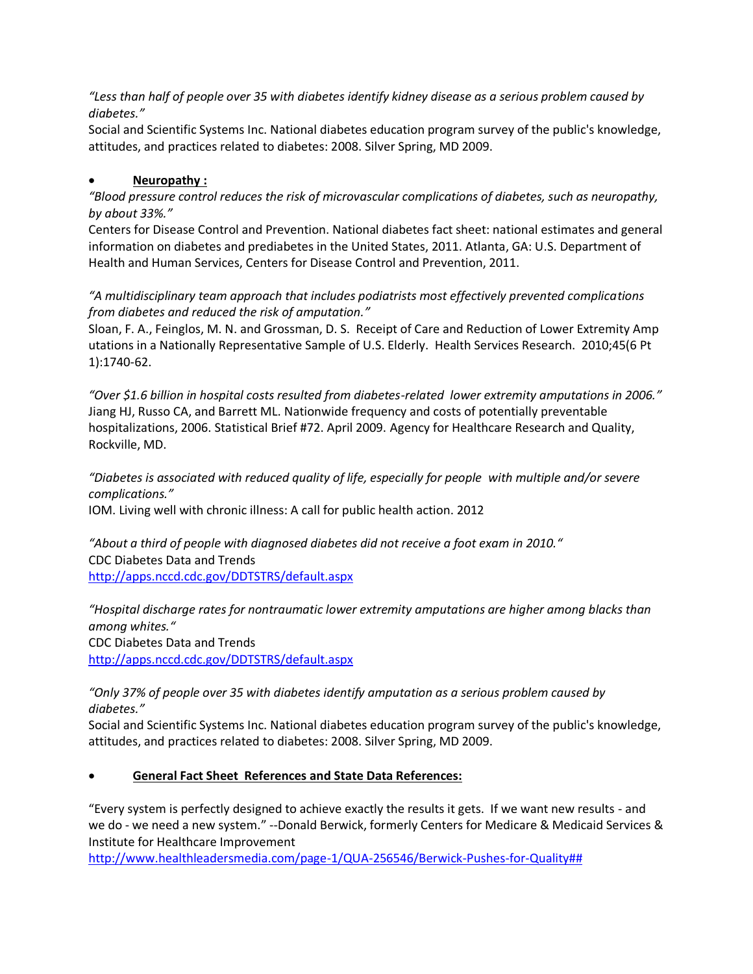*"Less than half of people over 35 with diabetes identify kidney disease as a serious problem caused by diabetes."*

Social and Scientific Systems Inc. National diabetes education program survey of the public's knowledge, attitudes, and practices related to diabetes: 2008. Silver Spring, MD 2009.

# **Neuropathy :**

*"Blood pressure control reduces the risk of microvascular complications of diabetes, such as neuropathy, by about 33%."*

Centers for Disease Control and Prevention. National diabetes fact sheet: national estimates and general information on diabetes and prediabetes in the United States, 2011. Atlanta, GA: U.S. Department of Health and Human Services, Centers for Disease Control and Prevention, 2011.

*"A multidisciplinary team approach that includes podiatrists most effectively prevented complications from diabetes and reduced the risk of amputation."*

Sloan, F. A., Feinglos, M. N. and Grossman, D. S. Receipt of Care and Reduction of Lower Extremity Amp utations in a Nationally Representative Sample of U.S. Elderly. Health Services Research. 2010;45(6 Pt 1):1740-62.

*"Over \$1.6 billion in hospital costs resulted from diabetes-related lower extremity amputations in 2006."* Jiang HJ, Russo CA, and Barrett ML. Nationwide frequency and costs of potentially preventable hospitalizations, 2006. Statistical Brief #72. April 2009. Agency for Healthcare Research and Quality, Rockville, MD.

*"Diabetes is associated with reduced quality of life, especially for people with multiple and/or severe complications."*

IOM. Living well with chronic illness: A call for public health action. 2012

"About a third of people with diagnosed diabetes did not receive a foot exam in 2010." CDC Diabetes Data and Trends <http://apps.nccd.cdc.gov/DDTSTRS/default.aspx>

*"Hospital discharge rates for nontraumatic lower extremity amputations are higher among blacks than among whites."* CDC Diabetes Data and Trends <http://apps.nccd.cdc.gov/DDTSTRS/default.aspx>

*"Only 37% of people over 35 with diabetes identify amputation as a serious problem caused by diabetes."*

Social and Scientific Systems Inc. National diabetes education program survey of the public's knowledge, attitudes, and practices related to diabetes: 2008. Silver Spring, MD 2009.

# **General Fact Sheet References and State Data References:**

"Every system is perfectly designed to achieve exactly the results it gets. If we want new results - and we do - we need a new system." --Donald Berwick, formerly Centers for Medicare & Medicaid Services & Institute for Healthcare Improvement

[http://www.healthleadersmedia.com/page-1/QUA-256546/Berwick-Pushes-for-Quality##](http://www.healthleadersmedia.com/page-1/QUA-256546/Berwick-Pushes-for-Quality)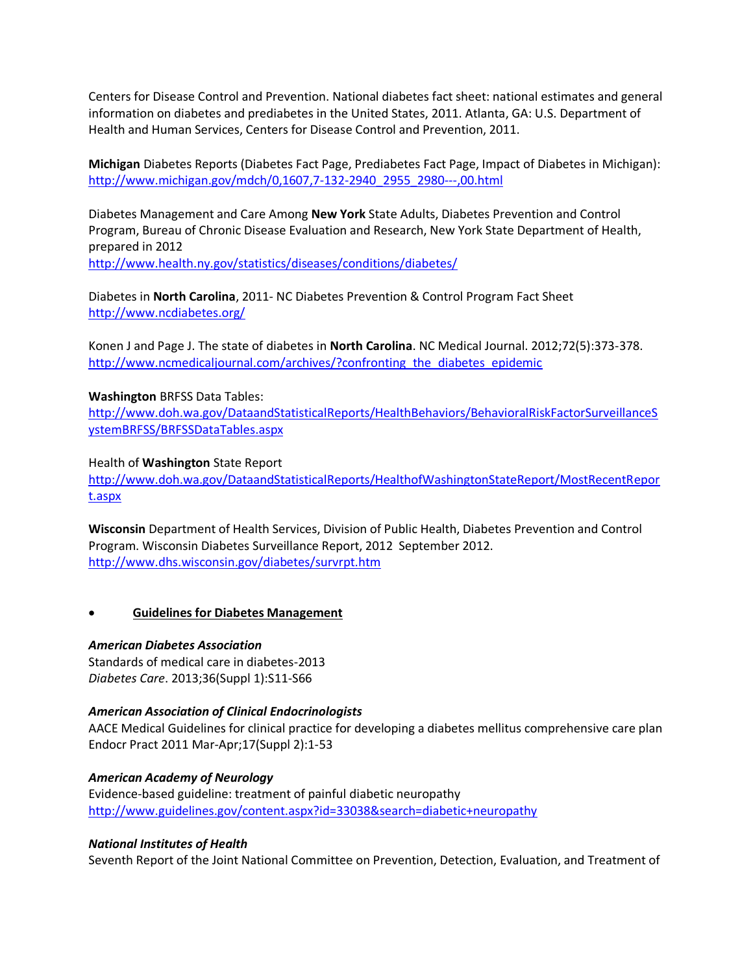Centers for Disease Control and Prevention. National diabetes fact sheet: national estimates and general information on diabetes and prediabetes in the United States, 2011. Atlanta, GA: U.S. Department of Health and Human Services, Centers for Disease Control and Prevention, 2011.

**Michigan** Diabetes Reports (Diabetes Fact Page, Prediabetes Fact Page, Impact of Diabetes in Michigan): [http://www.michigan.gov/mdch/0,1607,7-132-2940\\_2955\\_2980---,00.html](http://www.michigan.gov/mdch/0,1607,7-132-2940_2955_2980---,00.html)

Diabetes Management and Care Among **New York** State Adults, Diabetes Prevention and Control Program, Bureau of Chronic Disease Evaluation and Research, New York State Department of Health, prepared in 2012 <http://www.health.ny.gov/statistics/diseases/conditions/diabetes/>

Diabetes in **North Carolina**, 2011- NC Diabetes Prevention & Control Program Fact Sheet <http://www.ncdiabetes.org/>

Konen J and Page J. The state of diabetes in **North Carolina**. NC Medical Journal. 2012;72(5):373-378. [http://www.ncmedicaljournal.com/archives/?confronting\\_the\\_diabetes\\_epidemic](http://www.ncmedicaljournal.com/archives/?confronting_the_diabetes_epidemic)

### **Washington** BRFSS Data Tables:

[http://www.doh.wa.gov/DataandStatisticalReports/HealthBehaviors/BehavioralRiskFactorSurveillanceS](http://www.doh.wa.gov/DataandStatisticalReports/HealthBehaviors/BehavioralRiskFactorSurveillanceSystemBRFSS/BRFSSDataTables.aspx) [ystemBRFSS/BRFSSDataTables.aspx](http://www.doh.wa.gov/DataandStatisticalReports/HealthBehaviors/BehavioralRiskFactorSurveillanceSystemBRFSS/BRFSSDataTables.aspx)

#### Health of **Washington** State Report

[http://www.doh.wa.gov/DataandStatisticalReports/HealthofWashingtonStateReport/MostRecentRepor](http://www.doh.wa.gov/DataandStatisticalReports/HealthofWashingtonStateReport/MostRecentReport.aspx) [t.aspx](http://www.doh.wa.gov/DataandStatisticalReports/HealthofWashingtonStateReport/MostRecentReport.aspx)

**Wisconsin** Department of Health Services, Division of Public Health, Diabetes Prevention and Control Program. Wisconsin Diabetes Surveillance Report, 2012 September 2012. <http://www.dhs.wisconsin.gov/diabetes/survrpt.htm>

#### **Guidelines for Diabetes Management**

#### *American Diabetes Association*

Standards of medical care in diabetes-2013 *Diabetes Care*. 2013;36(Suppl 1):S11-S66

#### *American Association of Clinical Endocrinologists*

AACE Medical Guidelines for clinical practice for developing a diabetes mellitus comprehensive care plan Endocr Pract 2011 Mar-Apr;17(Suppl 2):1-53

### *American Academy of Neurology*

Evidence-based guideline: treatment of painful diabetic neuropathy <http://www.guidelines.gov/content.aspx?id=33038&search=diabetic+neuropathy>

#### *National Institutes of Health*

Seventh Report of the Joint National Committee on Prevention, Detection, Evaluation, and Treatment of